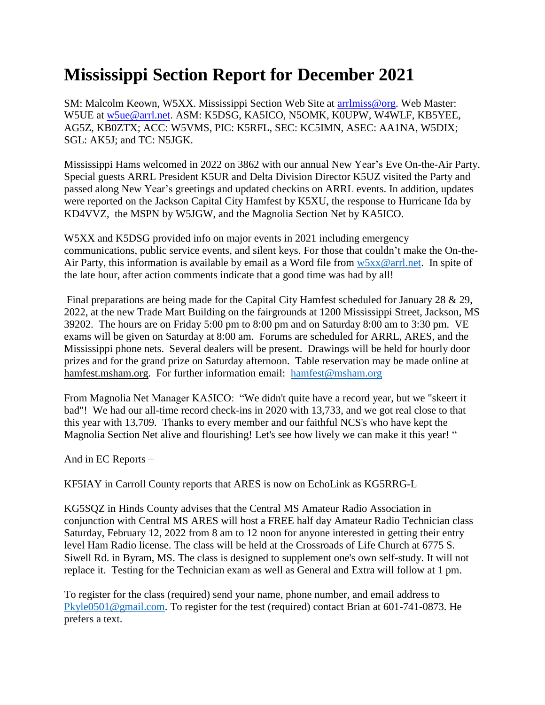## **Mississippi Section Report for December 2021**

SM: Malcolm Keown, W5XX. Mississippi Section Web Site at [arrlmiss@org.](mailto:arrlmiss@org) Web Master: W5UE at [w5ue@arrl.net.](mailto:w5ue@arrl.net) ASM: K5DSG, KA5ICO, N5OMK, K0UPW, W4WLF, KB5YEE, AG5Z, KB0ZTX; ACC: W5VMS, PIC: K5RFL, SEC: KC5IMN, ASEC: AA1NA, W5DIX; SGL: AK5J; and TC: N5JGK.

Mississippi Hams welcomed in 2022 on 3862 with our annual New Year's Eve On-the-Air Party. Special guests ARRL President K5UR and Delta Division Director K5UZ visited the Party and passed along New Year's greetings and updated checkins on ARRL events. In addition, updates were reported on the Jackson Capital City Hamfest by K5XU, the response to Hurricane Ida by KD4VVZ, the MSPN by W5JGW, and the Magnolia Section Net by KA5ICO.

W5XX and K5DSG provided info on major events in 2021 including emergency communications, public service events, and silent keys. For those that couldn't make the On-the-Air Party, this information is available by email as a Word file from  $w5xx@arrl.net$ . In spite of the late hour, after action comments indicate that a good time was had by all!

Final preparations are being made for the Capital City Hamfest scheduled for January 28 & 29, 2022, at the new Trade Mart Building on the fairgrounds at 1200 Mississippi Street, Jackson, MS 39202. The hours are on Friday 5:00 pm to 8:00 pm and on Saturday 8:00 am to 3:30 pm. VE exams will be given on Saturday at 8:00 am. Forums are scheduled for ARRL, ARES, and the Mississippi phone nets. Several dealers will be present. Drawings will be held for hourly door prizes and for the grand prize on Saturday afternoon. Table reservation may be made online at hamfest.msham.org. For further information email: [hamfest@msham.org](mailto:hamfest@msham.org)

From Magnolia Net Manager KA5ICO: "We didn't quite have a record year, but we "skeert it bad"! We had our all-time record check-ins in 2020 with 13,733, and we got real close to that this year with 13,709. Thanks to every member and our faithful NCS's who have kept the Magnolia Section Net alive and flourishing! Let's see how lively we can make it this year! "

And in EC Reports –

KF5IAY in Carroll County reports that ARES is now on EchoLink as KG5RRG-L

KG5SQZ in Hinds County advises that the Central MS Amateur Radio Association in conjunction with Central MS ARES will host a FREE half day Amateur Radio Technician class Saturday, February 12, 2022 from 8 am to 12 noon for anyone interested in getting their entry level Ham Radio license. The class will be held at the Crossroads of Life Church at 6775 S. Siwell Rd. in Byram, MS. The class is designed to supplement one's own self-study. It will not replace it. Testing for the Technician exam as well as General and Extra will follow at 1 pm.

To register for the class (required) send your name, phone number, and email address to [Pkyle0501@gmail.com.](mailto:Pkyle0501@gmail.com) To register for the test (required) contact Brian at 601-741-0873. He prefers a text.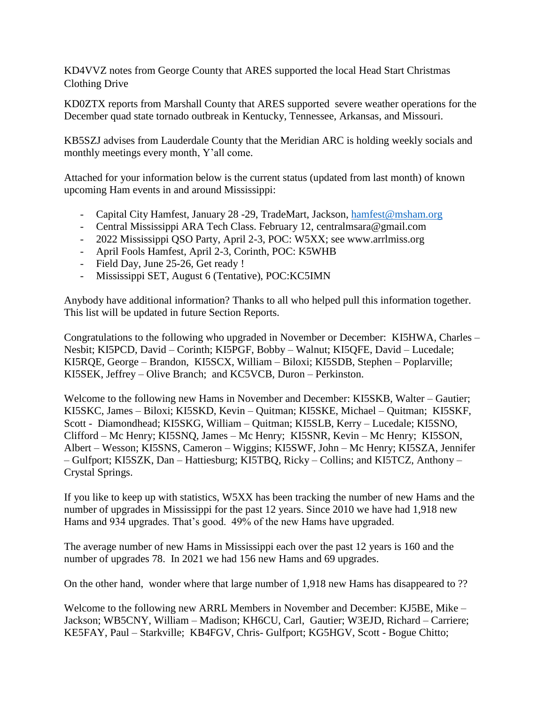KD4VVZ notes from George County that ARES supported the local Head Start Christmas Clothing Drive

KD0ZTX reports from Marshall County that ARES supported severe weather operations for the December quad state tornado outbreak in Kentucky, Tennessee, Arkansas, and Missouri.

KB5SZJ advises from Lauderdale County that the Meridian ARC is holding weekly socials and monthly meetings every month, Y'all come.

Attached for your information below is the current status (updated from last month) of known upcoming Ham events in and around Mississippi:

- Capital City Hamfest, January 28 -29, TradeMart, Jackson, [hamfest@msham.org](mailto:hamfest@msham.org)
- Central Mississippi ARA Tech Class. February 12, centralmsara@gmail.com
- 2022 Mississippi QSO Party, April 2-3, POC: W5XX; see www.arrlmiss.org
- April Fools Hamfest, April 2-3, Corinth, POC: K5WHB
- Field Day, June 25-26, Get ready !
- Mississippi SET, August 6 (Tentative), POC:KC5IMN

Anybody have additional information? Thanks to all who helped pull this information together. This list will be updated in future Section Reports.

Congratulations to the following who upgraded in November or December: KI5HWA, Charles – Nesbit; KI5PCD, David – Corinth; KI5PGF, Bobby – Walnut; KI5QFE, David – Lucedale; KI5RQE, George – Brandon, KI5SCX, William – Biloxi; KI5SDB, Stephen – Poplarville; KI5SEK, Jeffrey – Olive Branch; and KC5VCB, Duron – Perkinston.

Welcome to the following new Hams in November and December: KI5SKB, Walter – Gautier; KI5SKC, James – Biloxi; KI5SKD, Kevin – Quitman; KI5SKE, Michael – Quitman; KI5SKF, Scott - Diamondhead; KI5SKG, William – Quitman; KI5SLB, Kerry – Lucedale; KI5SNO, Clifford – Mc Henry; KI5SNQ, James – Mc Henry; KI5SNR, Kevin – Mc Henry; KI5SON, Albert – Wesson; KI5SNS, Cameron – Wiggins; KI5SWF, John – Mc Henry; KI5SZA, Jennifer – Gulfport; KI5SZK, Dan – Hattiesburg; KI5TBQ, Ricky – Collins; and KI5TCZ, Anthony – Crystal Springs.

If you like to keep up with statistics, W5XX has been tracking the number of new Hams and the number of upgrades in Mississippi for the past 12 years. Since 2010 we have had 1,918 new Hams and 934 upgrades. That's good. 49% of the new Hams have upgraded.

The average number of new Hams in Mississippi each over the past 12 years is 160 and the number of upgrades 78. In 2021 we had 156 new Hams and 69 upgrades.

On the other hand, wonder where that large number of 1,918 new Hams has disappeared to ??

Welcome to the following new ARRL Members in November and December: KJ5BE, Mike – Jackson; WB5CNY, William – Madison; KH6CU, Carl, Gautier; W3EJD, Richard – Carriere; KE5FAY, Paul – Starkville; KB4FGV, Chris- Gulfport; KG5HGV, Scott - Bogue Chitto;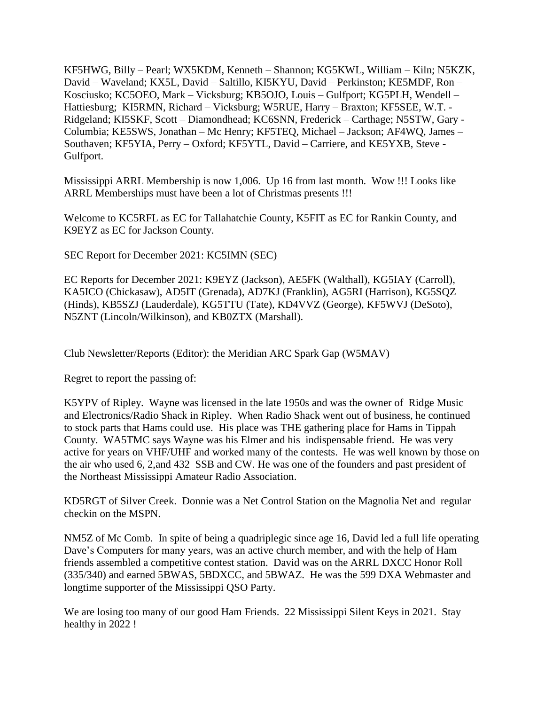KF5HWG, Billy – Pearl; WX5KDM, Kenneth – Shannon; KG5KWL, William – Kiln; N5KZK, David – Waveland; KX5L, David – Saltillo, KI5KYU, David – Perkinston; KE5MDF, Ron – Kosciusko; KC5OEO, Mark – Vicksburg; KB5OJO, Louis – Gulfport; KG5PLH, Wendell – Hattiesburg; KI5RMN, Richard – Vicksburg; W5RUE, Harry – Braxton; KF5SEE, W.T. - Ridgeland; KI5SKF, Scott – Diamondhead; KC6SNN, Frederick – Carthage; N5STW, Gary - Columbia; KE5SWS, Jonathan – Mc Henry; KF5TEQ, Michael – Jackson; AF4WQ, James – Southaven; KF5YIA, Perry – Oxford; KF5YTL, David – Carriere, and KE5YXB, Steve - Gulfport.

Mississippi ARRL Membership is now 1,006. Up 16 from last month. Wow !!! Looks like ARRL Memberships must have been a lot of Christmas presents !!!

Welcome to KC5RFL as EC for Tallahatchie County, K5FIT as EC for Rankin County, and K9EYZ as EC for Jackson County.

SEC Report for December 2021: KC5IMN (SEC)

EC Reports for December 2021: K9EYZ (Jackson), AE5FK (Walthall), KG5IAY (Carroll), KA5ICO (Chickasaw), AD5IT (Grenada), AD7KJ (Franklin), AG5RI (Harrison), KG5SQZ (Hinds), KB5SZJ (Lauderdale), KG5TTU (Tate), KD4VVZ (George), KF5WVJ (DeSoto), N5ZNT (Lincoln/Wilkinson), and KB0ZTX (Marshall).

Club Newsletter/Reports (Editor): the Meridian ARC Spark Gap (W5MAV)

Regret to report the passing of:

K5YPV of Ripley. Wayne was licensed in the late 1950s and was the owner of Ridge Music and Electronics/Radio Shack in Ripley. When Radio Shack went out of business, he continued to stock parts that Hams could use. His place was THE gathering place for Hams in Tippah County. WA5TMC says Wayne was his Elmer and his indispensable friend. He was very active for years on VHF/UHF and worked many of the contests. He was well known by those on the air who used 6, 2,and 432 SSB and CW. He was one of the founders and past president of the Northeast Mississippi Amateur Radio Association.

KD5RGT of Silver Creek. Donnie was a Net Control Station on the Magnolia Net and regular checkin on the MSPN.

NM5Z of Mc Comb. In spite of being a quadriplegic since age 16, David led a full life operating Dave's Computers for many years, was an active church member, and with the help of Ham friends assembled a competitive contest station. David was on the ARRL DXCC Honor Roll (335/340) and earned 5BWAS, 5BDXCC, and 5BWAZ. He was the 599 DXA Webmaster and longtime supporter of the Mississippi QSO Party.

We are losing too many of our good Ham Friends. 22 Mississippi Silent Keys in 2021. Stay healthy in 2022 !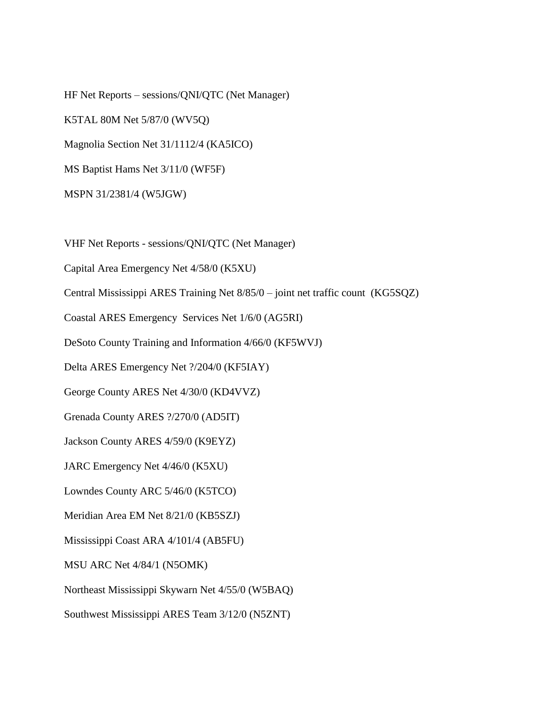HF Net Reports – sessions/QNI/QTC (Net Manager) K5TAL 80M Net 5/87/0 (WV5Q) Magnolia Section Net 31/1112/4 (KA5ICO) MS Baptist Hams Net 3/11/0 (WF5F) MSPN 31/2381/4 (W5JGW)

VHF Net Reports - sessions/QNI/QTC (Net Manager)

Capital Area Emergency Net 4/58/0 (K5XU)

Central Mississippi ARES Training Net 8/85/0 – joint net traffic count (KG5SQZ)

Coastal ARES Emergency Services Net 1/6/0 (AG5RI)

DeSoto County Training and Information 4/66/0 (KF5WVJ)

Delta ARES Emergency Net ?/204/0 (KF5IAY)

George County ARES Net 4/30/0 (KD4VVZ)

Grenada County ARES ?/270/0 (AD5IT)

Jackson County ARES 4/59/0 (K9EYZ)

JARC Emergency Net 4/46/0 (K5XU)

Lowndes County ARC 5/46/0 (K5TCO)

Meridian Area EM Net 8/21/0 (KB5SZJ)

Mississippi Coast ARA 4/101/4 (AB5FU)

MSU ARC Net 4/84/1 (N5OMK)

Northeast Mississippi Skywarn Net 4/55/0 (W5BAQ)

Southwest Mississippi ARES Team 3/12/0 (N5ZNT)